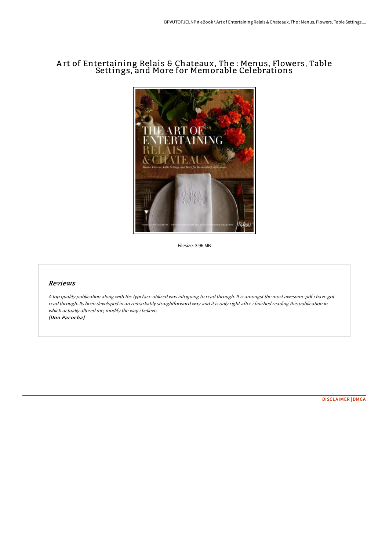# A rt of Entertaining Relais & Chateaux, The : Menus, Flowers, Table Settings, and More for Memorable Celebrations



Filesize: 3.96 MB

## Reviews

<sup>A</sup> top quality publication along with the typeface utilized was intriguing to read through. It is amongst the most awesome pdf i have got read through. Its been developed in an remarkably straightforward way and it is only right after i finished reading this publication in which actually altered me, modify the way i believe. (Don Pacocha)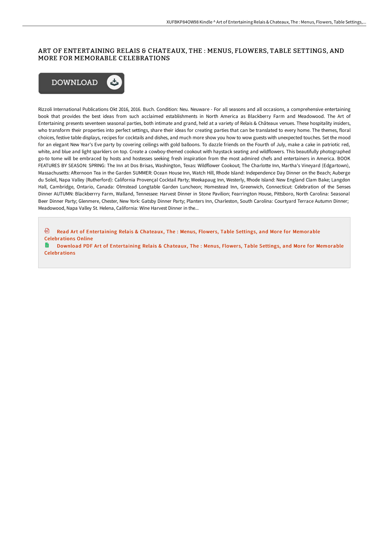### ART OF ENTERTAINING RELAIS & CHATEAUX, THE : MENUS, FLOWERS, TABLE SETTINGS, AND MORE FOR MEMORABLE CELEBRATIONS



Rizzoli International Publications Okt 2016, 2016. Buch. Condition: Neu. Neuware - For all seasons and all occasions, a comprehensive entertaining book that provides the best ideas from such acclaimed establishments in North America as Blackberry Farm and Meadowood. The Art of Entertaining presents seventeen seasonal parties, both intimate and grand, held at a variety of Relais & Châteaux venues. These hospitality insiders, who transform their properties into perfect settings, share their ideas for creating parties that can be translated to every home. The themes, floral choices, festive table displays, recipes for cocktails and dishes, and much more show you how to wow guests with unexpected touches. Set the mood for an elegant New Year's Eve party by covering ceilings with gold balloons. To dazzle friends on the Fourth of July, make a cake in patriotic red, white, and blue and light sparklers on top. Create a cowboy-themed cookout with haystack seating and wildflowers. This beautifully photographed go-to tome will be embraced by hosts and hostesses seeking fresh inspiration from the most admired chefs and entertainers in America. BOOK FEATURES BY SEASON: SPRING: The Inn at Dos Brisas, Washington, Texas: Wildflower Cookout; The Charlotte Inn, Martha's Vineyard (Edgartown), Massachusetts: AHernoon Tea in the Garden SUMMER: Ocean House Inn, Watch Hill, Rhode Island: Independence Day Dinner on the Beach; Auberge du Soleil, Napa Valley (Rutherford): California Provençal Cocktail Party; Weekapaug Inn, Westerly, Rhode Island: New England Clam Bake; Langdon Hall, Cambridge, Ontario, Canada: Olmstead Longtable Garden Luncheon; Homestead Inn, Greenwich, Connecticut: Celebration of the Senses Dinner AUTUMN: Blackberrry Farm, Walland, Tennessee: Harvest Dinner in Stone Pavilion; Fearrington House, Pittsboro, North Carolina: Seasonal Beer Dinner Party; Glenmere, Chester, New York: Gatsby Dinner Party; Planters Inn, Charleston, South Carolina: Courtyard Terrace Autumn Dinner; Meadowood, Napa Valley St. Helena, California: Wine Harvest Dinner in the...

刪 Read Art of Entertaining Relais & Chateaux, The : Menus, Flowers, Table Settings, and More for Memorable [Celebrations](http://techno-pub.tech/art-of-entertaining-relais-amp-chateaux-the-menu.html) Online

Download PDF Art of Entertaining Relais & Chateaux, The : Menus, Flowers, Table Settings, and More for Memorable [Celebrations](http://techno-pub.tech/art-of-entertaining-relais-amp-chateaux-the-menu.html)